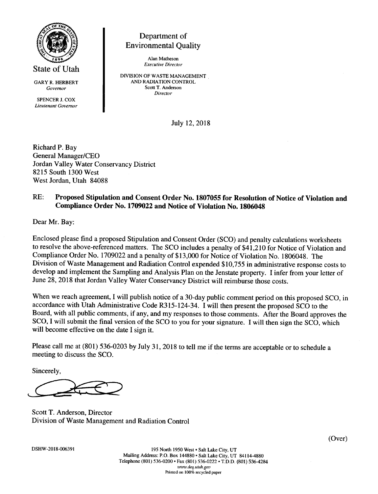

State of Utah

GARY R. HERBERT Govemor

SPENCER J. COX Lieutenant Governor

# Department of Environmental Quality

Alan Matheson Executive Director

DIVISION OF WASTE MANAGEMENT AND RADIATION CONTROL Scott T. Anderson Director

July 12, 2018

Richard P. Bay General Manager/CEO Jordan Valley Water Conservancy District 8215 South 1300 West West Jordan. Utah 84088

#### RE: Proposed Stipulation and Consent Order No. 1807055 for Resolution of Notice of Violation and Compliance Order No. 1709022 and Notice of Violation No. 1806048

Dear Mr. Bay:

Enclosed please find a proposed Stipulation and Consent Order (SCO) and penalty calculations worksheets to resolve the above-referenced matters. The SCO includes a penalty of \$41,210 for Notice of Violation and Compliance Order No. 1709022 and a penalty of \$13,000 for Notice of Violation No. 1806048. The Division of Waste Management and Radiation Control expended \$10,755 in administrative response costs to develop and implement the Sampling and Analysis Plan on the Jenstate property. I infer from your letter of June 28, 2018 that Jordan Valley Water Conservancy District will reimburse those costs.

When we reach agreement, I will publish notice of a 30-day public comment period on this proposed SCO, in accordance with Utah Administrative Code R3l5-I24-34. I will then present the proposed SCO to the Board, with all public comments, if any, and my responses to those comments. After the Board approves the SCO, I will submit the final version of the SCO to you for your signature. I will then sign the SCO, which will become effective on the date I sign it.

Please call me at (801) 536-0203 by July 3I, 2018 to tell me if the terms are acceptable or to schedule <sup>a</sup> meeting to discuss the SCO.

Sincerely,

Scott T. Anderson. Director Division of Waste Management and Radiation Control

(Over)

DSHW-2018-006391

195 North 1950 West . Salt Lake City, UT Mailing Address: P.O. Box 144880 . Salt Lake City, UT 84114-4880 Telephone (801) 536-0200 · Fax (801) 536-0222 · T.D.D. (801) 536-4284 www.deq.utah.gov Printed on 100% recycled paper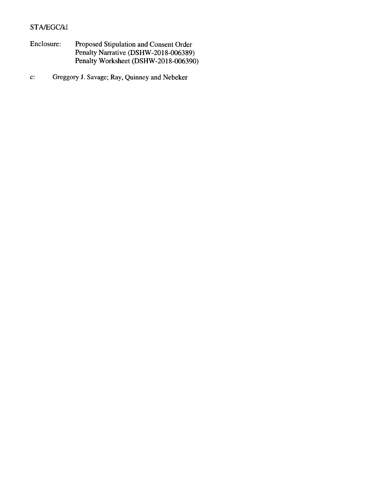#### STA/EGC/KI

Enclosure: Proposed Stipulation and Consent Order Penalty Narrative (DSHW-2O I 8-006389) Penalty Worksheet (DSHW-20 I 8-006390)

c: Greggory J. Savage; Ray, Quinney and Nebeker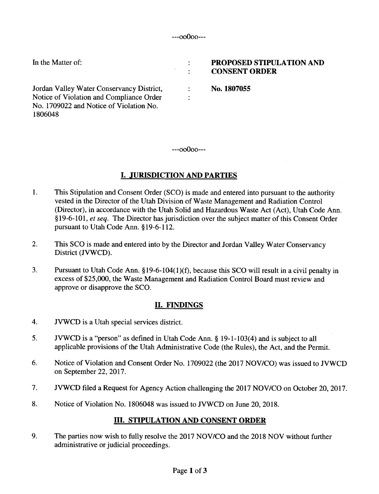$\ddot{\cdot}$  $\ddot{\cdot}$ 

 $\ddot{\cdot}$  $\ddot{\cdot}$ 

In the Matter of:

Jordan Valley Water Conservancy District, Notice of Violation and Compliance Order No. 1709022 and Notice of Violation No. 1806048

#### PROPOSED STIPULATION AND CONSENT ORDER

No.1807055

---oo0oo---

## I. JURISDICTION AND PARTIES

- 1. This Stipulation and Consent Order (SCO) is made and entered into pursuant to the authority vested in the Director of the Utah Division of Waste Management and Radiation Control (Director), in accordance with the Utah Solid and Hazardous Waste Act (Act), Utah Code Ann. §19-6-101, et seq. The Director has jurisdiction over the subject matter of this Consent Order pursuant to Utah Code Ann. \$19-6-112.
- 2. This SCO is made and entered into by the Director and Jordan Valley Water Conservancy District (JVWCD).
- 3. Pursuant to Utah Code Ann. \$19-6-104(1)(f), because this SCO will result in a civil penalty in excess of \$25,000, the Waste Management and Radiation Control Board must review and approve or disapprove the SCO.

### II. FINDINGS

- 4. JVWCD is a Utah special services district.
- 5. JVWCD is a "person" as defined in Utah Code Ann. \$ 19-1-103(4) and is subject to all applicable provisions of the Utah Administrative Code (the Rules), the Act, and the Permit.
- 6. Notice of Violation and Consent Order No. 1709022 (the 2017 NOV/CO) was issued to JVWCD on September 22,2017.
- 7. JVWCD filed a Request for Agency Action challenging the 2017 NOV/CO on October 20, 2017.
- 8. Notice of Violation No. 1806048 was issued to JVWCD on June 20, 2018.

### III. STIPULATION AND CONSENT ORDER

9. The parties now wish to fully resolve the 2017 NOV/CO and the 2018 NOV without further administrative or judicial proceedings.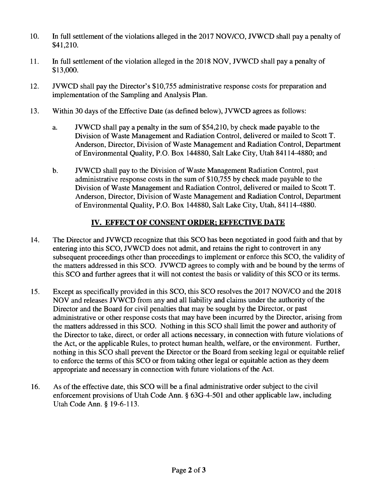- 10. In full settlement of the violations alleged in the 2017 NOV/CO, JVWCD shall pay a penalty of \$41,210.
- 11. In full settlement of the violation alleged in the 2018 NOV, JVWCD shall pay a penalty of \$13,000.
- T2, JVWCD shall pay the Director's \$10,755 administrative response costs for preparation and implementation of the Sampling and Analysis Plan.
- 13. Within 30 days of the Effective Date (as defined below), JVWCD agrees as follows:
	- a. JVWCD shall pay a penalty in the sum of \$54,210, by check made payable to the Division of Waste Management and Radiation Control, delivered or mailed to Scott T. Anderson, Director, Division of Waste Management and Radiation Control, Department of Environmental Quality, P.O. Box 144880, Salt Lake City, Utah 84114-4880; and
	- b. JVIVCD shall pay to the Division of Waste Management Radiation Control, past administrative response costs in the sum of \$10,755 by check made payable to the Division of Waste Management and Radiation Control, delivered or mailed to Scott T. Anderson, Director, Division of Waste Management and Radiation Control, Department of Environmental Quality, P.O. Box 144880, Salt Lake City, Utah, 84114-4880.

# IV. EFFECT OF CONSENT ORDER; EFFECTIVE DATE

- The Director and JVWCD recognize that this SCO has been negotiated in good faith and that by entering into this SCO, JVWCD does not admit, and retains the right to controvert in any subsequent proceedings other than proceedings to implement or enforce this SCO, the validity of the matters addressed in this SCO. JVWCD agrees to comply with and be bound by the terms of this SCO and further agrees that it will not contest the basis or validity of this SCO or its terms. t4.
- Except as specifically provided in this SCO, this SCO resolves the 2017 NOV/CO and the 2018 NOV and releases JVWCD from any and all liability and claims under the authority of the Director and the Board for civil penalties that may be sought by the Director, or past administrative or other response costs that may have been incurred by the Director, arising from the matters addressed in this SCO. Nothing in this SCO shall limit the power and authority of the Director to take, direct, or order all actions necessary, in connection with future violations of the Act, or the applicable Rules, to protect human health, welfare, or the environment. Further, nothing in this SCO shall prevent the Director or the Board from seeking legal or equitable relief to enforce the terms of this SCO or from taking other legal or equitable action as they deem appropriate and necessary in connection with future violations of the Act. 15.
- As of the effective date, this SCO will be a final administrative order subject to the civil enforcement provisions of Utah Code Ann. \$ 63G-4-501 and other applicable law, including Utah Code Ann. \$ 19-6-113. 16.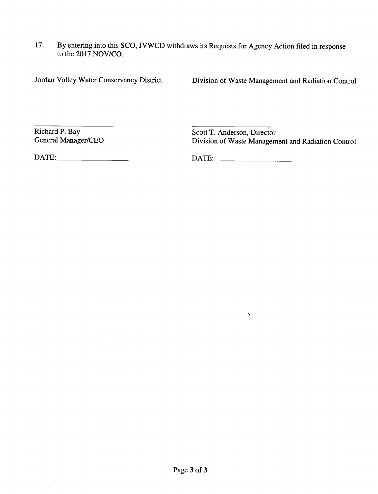I7. By entering into this SCO, JVWCD withdraws its Requests for Agency Action filed in response to the 2017 NOV/CO.

Jordan Valley Water Conservancy District Division of Waste Management and Radiation Control

Richard P. Bay<br>
General Manager/CEO<br>
Scott T. Anderson, Director<br>
Division of Waste Managem Division of Waste Management and Radiation Control

DATE: DATE:

 $\mathbf{s}$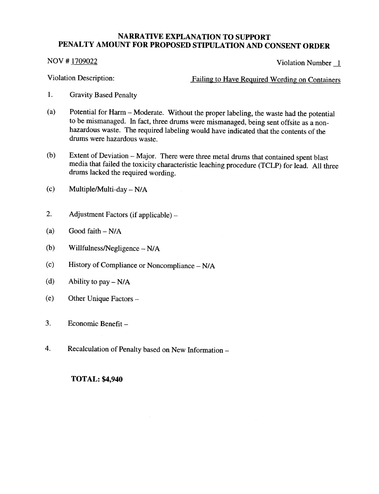NOV # 1709022 Violation Number 1

Violation Description: Failing to Have Required Wording on Containers

- 1. Gravity Based Penalty
- (a) Potential for Harm Moderate. Without the proper labeling, the waste had the potential to be mismanaged. In fact, three drums were mismanaged, being sent offsite as a nonhazardous waste. The required labeling would have indicated that the contents of the drums were hazardous waste.
- (b) Extent of Deviation Major. There were three metal drums that contained spent blast media that failed the toxicity characteristic leaching procedure (TCLP) for lead. All three drums lacked the required wording.
- (c) Multiple/Multi-day  $N/A$
- 2. Adjustment Factors (if applicable) –
- (a) Good faith  $-N/A$
- (b) Willfulness/Negligence  $N/A$
- (c) History of Compliance or Noncompliance N/A
- (d) Ability to pay  $N/A$
- (e) Other Unique Factors -
- 3. Economic Benefit -
- 4. Recalculation of Penalty based on New Information -

### TOTAL: \$4,940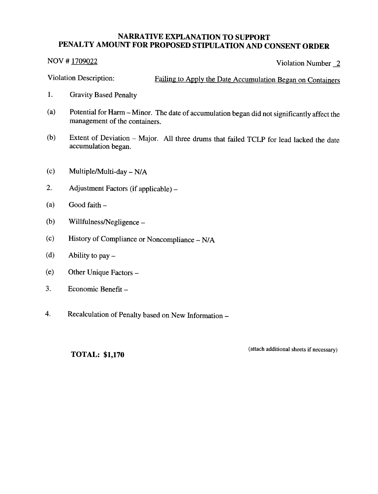$NOV # 1709022$  Violation Number 2

Violation Description: Failing to Apply the Date Accumulation Began on Containers

- 1. Gravity Based Penalty
- (a) Potential for Harm Minor. The date of accumulation began did not significantly affect the management of the containers.
- (b) Extent of Deviation Major. All three drums that failed TCLP for lead lacked the date accumulation began.
- $(c)$  Multiple/Multi-day N/A
- 2. Adjustment Factors (if applicable) –
- $(a)$  Good faith  $-$
- (b) Willfulness/Negligence  $-$
- (c) History of Compliance or Noncompliance N/A
- (d) Ability to  $pay -$
- (e) Other Unique Factors -
- 3. Economic Benefit -
- 4. Recalculation of Penalty based on New Information -

TOTAL: \$1,170

(attach additional sheets if necessarv)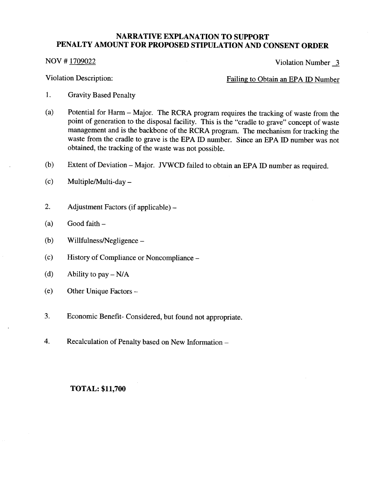NOV # 1709022 Violation Number 3

Violation Description: Failing to Obtain an EPA ID Number

- 1. Gravity Based Penalty
- (a) Potential for Harm Major. The RCRA program requires the tracking of waste from the point of generation to the disposal facility. This is the "cradle to grave" concept of waste management and is the backbone of the RCRA program. The mechanism for tracking the waste from the cradle to grave is the EPA ID number. Since an EPA ID number was not obtained, the tracking of the waste was not possible.
- (b) Extent of Deviation Major. JVWCD failed to obtain an EPA ID number as required.
- $(c)$  Multiple/Multi-day –
- 2. Adjustment Factors (if applicable) -
- $(a)$  Good faith  $-$
- (b) Willfulness/Negligence  $-$
- (c) History of Compliance or Noncompliance -
- (d) Ability to pay  $-N/A$
- (e) Other Unique Factors -
- 3. Economic Benefit- Considered, but found not appropriate.
- 4. Recalculation of Penalty based on New Information -

#### TOTAL: \$11,700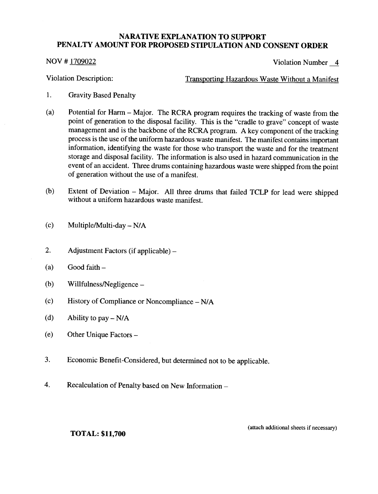#### NOV # 1709022

Violation Number 4

Violation Description:

Transporting Hazardous Waste Without a Manifest

- l. Gravity Based Penalty
- (a) Potential for Harm Major. The RCRA program requires the tracking of waste from the point of generation to the disposal facility. This is the "cradle to grave" concept of waste management and is the backbone of the RCRA program. A key component of the tracking process is the use of the uniform hazardous waste manifest. The manifest contains important information, identifying the waste for those who transport the waste and for the treatment storage and disposal facility. The information is also used in hazard communication in the event of an accident. Three drums containing hazardous waste were shipped from the point of generation without the use of a manifest.
- (b) Extent of Deviation – Major. All three drums that failed TCLP for lead were shipped without a uniform hazardous waste manifest.
- Multiple/Multi-day  $N/A$ (c)
- Adjustment Factors (if applicable) 2.
- Good faith  $-$ (a)
- Willfulness/Negligence -(b)
- History of Compliance or Noncompliance N/A (c)
- Ability to pay  $N/A$ (d)
- Other Unique Factors -(e)
- Economic Benefit-Considered, but determined not to be applicable. 3.
- Recalculation of Penalty based on New Information 4.

TOTAL: \$11,700

(attach additional sheets if necessarv)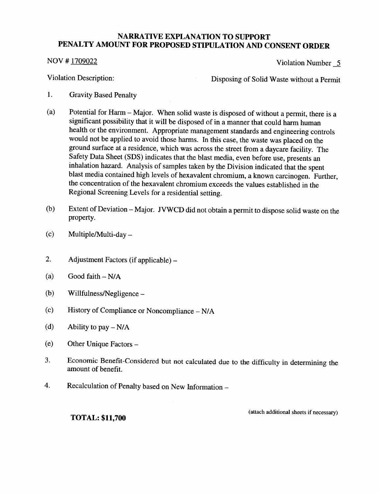#### NOV # 1709022

Violation Number 5

Violation Description:

Disposing of Solid Waste without a Permit

- 1. Gravity Based Penalty
- (a) Potential for Harm Major. When solid waste is disposed of without a permit, there is <sup>a</sup> significant possibility that it will be disposed of in a manner that could harm human health or the environment. Appropriate management standards and engineering controls would not be applied to avoid those harms. In this case, the waste was placed on the ground surface at a residence, which was across the street from a daycare facility. The Safety Data Sheet (SDS) indicates that the blast media, even before use, presents an inhalation hazard. Analysis of samples taken by the Division indicated that the spent blast media contained high levels of hexavalent chromium, a known carcinogen. Further, the concentration of the hexavalent chromium exceeds the values established in the Regional Screening Levels for a residential setting.
- Extent of Deviation Major. JVWCD did not obtain a permit to dispose solid waste on the property. (b)
- Multiple/Multi-day  $-$ (c)
- Adjustment Factors (if applicable) 2.
- Good faith  $N/A$ (a)
- Willfulness/Negligence -(b)
- History of Compliance or Noncompliance N/A (c)
- Ability to  $pay N/A$ (d)
- Other Unique Factors -(e)
- Economic Benefit-Considered but not calculated due to the difficulty in determining the amount of benefit. 3.
- Recalculation of Penalty based on New Information 4.

(attach additional sheets if necessary)

TOTAL: \$11,700